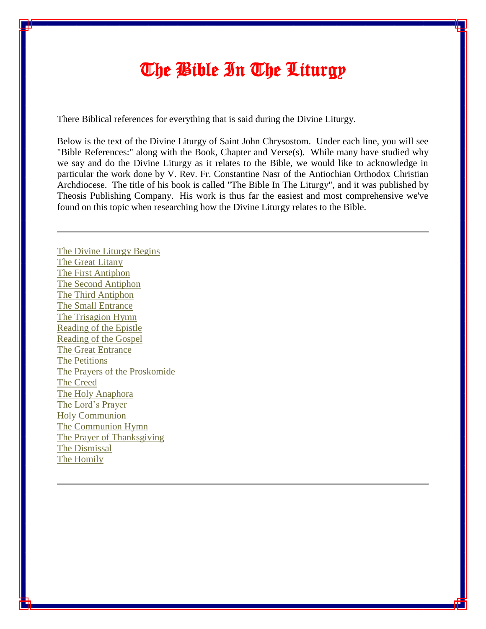# The Bible In The Liturgy

There Biblical references for everything that is said during the Divine Liturgy.

Below is the text of the Divine Liturgy of Saint John Chrysostom. Under each line, you will see "Bible References:" along with the Book, Chapter and Verse(s). While many have studied why we say and do the Divine Liturgy as it relates to the Bible, we would like to acknowledge in particular the work done by V. Rev. Fr. Constantine Nasr of the Antiochian Orthodox Christian Archdiocese. The title of his book is called "The Bible In The Liturgy", and it was published by Theosis Publishing Company. His work is thus far the easiest and most comprehensive we've found on this topic when researching how the Divine Liturgy relates to the Bible.

The Divine Liturgy Begins The Great Litany The First Antiphon The Second Antiphon The Third Antiphon The Small Entrance The Trisagion Hymn Reading of the Epistle Reading of the Gospel The Great Entrance The Petitions The Prayers of the Proskomide The Creed The Holy Anaphora The Lord's Prayer Holy Communion The Communion Hymn The Prayer of Thanksgiving The Dismissal The Homily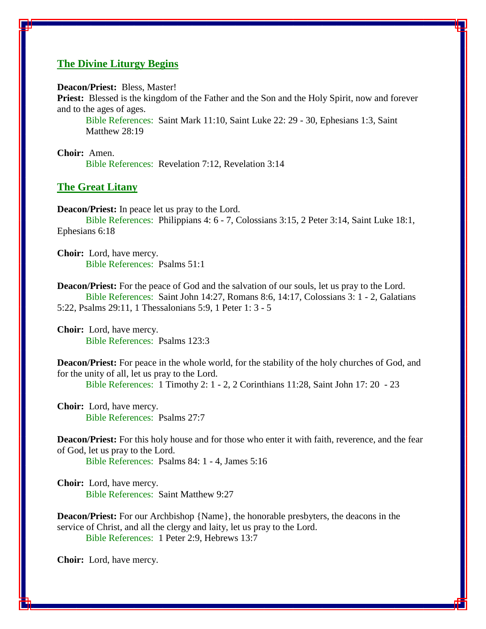# **The Divine Liturgy Begins**

**Deacon/Priest:** Bless, Master!

**Priest:** Blessed is the kingdom of the Father and the Son and the Holy Spirit, now and forever and to the ages of ages.

Bible References: Saint Mark 11:10, Saint Luke 22: 29 - 30, Ephesians 1:3, Saint Matthew 28:19

**Choir:** Amen. Bible References: Revelation 7:12, Revelation 3:14

#### **The Great Litany**

**Deacon/Priest:** In peace let us pray to the Lord.

 Bible References: Philippians 4: 6 - 7, Colossians 3:15, 2 Peter 3:14, Saint Luke 18:1, Ephesians 6:18

**Choir:** Lord, have mercy. Bible References: Psalms 51:1

**Deacon/Priest:** For the peace of God and the salvation of our souls, let us pray to the Lord. Bible References: Saint John 14:27, Romans 8:6, 14:17, Colossians 3: 1 - 2, Galatians 5:22, Psalms 29:11, 1 Thessalonians 5:9, 1 Peter 1: 3 - 5

**Choir:** Lord, have mercy. Bible References: Psalms 123:3

**Deacon/Priest:** For peace in the whole world, for the stability of the holy churches of God, and for the unity of all, let us pray to the Lord.

Bible References: 1 Timothy 2: 1 - 2, 2 Corinthians 11:28, Saint John 17: 20 - 23

**Choir:** Lord, have mercy. Bible References: Psalms 27:7

**Deacon/Priest:** For this holy house and for those who enter it with faith, reverence, and the fear of God, let us pray to the Lord.

Bible References: Psalms 84: 1 - 4, James 5:16

**Choir:** Lord, have mercy. Bible References: Saint Matthew 9:27

**Deacon/Priest:** For our Archbishop {Name}, the honorable presbyters, the deacons in the service of Christ, and all the clergy and laity, let us pray to the Lord. Bible References: 1 Peter 2:9, Hebrews 13:7

**Choir:** Lord, have mercy.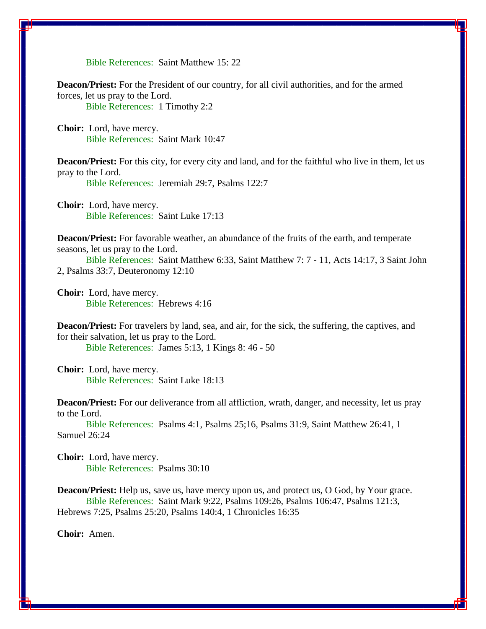Bible References: Saint Matthew 15: 22

**Deacon/Priest:** For the President of our country, for all civil authorities, and for the armed forces, let us pray to the Lord. Bible References: 1 Timothy 2:2

**Choir:** Lord, have mercy. Bible References: Saint Mark 10:47

**Deacon/Priest:** For this city, for every city and land, and for the faithful who live in them, let us pray to the Lord.

Bible References: Jeremiah 29:7, Psalms 122:7

**Choir:** Lord, have mercy. Bible References: Saint Luke 17:13

**Deacon/Priest:** For favorable weather, an abundance of the fruits of the earth, and temperate seasons, let us pray to the Lord.

 Bible References: Saint Matthew 6:33, Saint Matthew 7: 7 - 11, Acts 14:17, 3 Saint John 2, Psalms 33:7, Deuteronomy 12:10

**Choir:** Lord, have mercy. Bible References: Hebrews 4:16

**Deacon/Priest:** For travelers by land, sea, and air, for the sick, the suffering, the captives, and for their salvation, let us pray to the Lord.

Bible References: James 5:13, 1 Kings 8: 46 - 50

**Choir:** Lord, have mercy. Bible References: Saint Luke 18:13

**Deacon/Priest:** For our deliverance from all affliction, wrath, danger, and necessity, let us pray to the Lord.

 Bible References: Psalms 4:1, Psalms 25;16, Psalms 31:9, Saint Matthew 26:41, 1 Samuel 26:24

**Choir:** Lord, have mercy. Bible References: Psalms 30:10

**Deacon/Priest:** Help us, save us, have mercy upon us, and protect us, O God, by Your grace. Bible References: Saint Mark 9:22, Psalms 109:26, Psalms 106:47, Psalms 121:3, Hebrews 7:25, Psalms 25:20, Psalms 140:4, 1 Chronicles 16:35

**Choir:** Amen.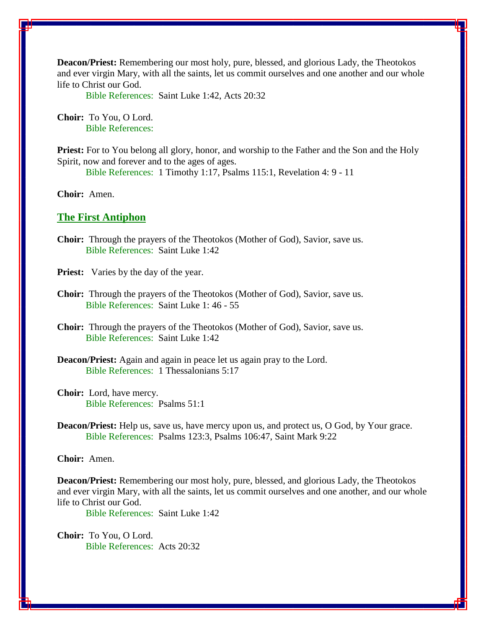**Deacon/Priest:** Remembering our most holy, pure, blessed, and glorious Lady, the Theotokos and ever virgin Mary, with all the saints, let us commit ourselves and one another and our whole life to Christ our God.

Bible References: Saint Luke 1:42, Acts 20:32

**Choir:** To You, O Lord. Bible References:

**Priest:** For to You belong all glory, honor, and worship to the Father and the Son and the Holy Spirit, now and forever and to the ages of ages.

Bible References: 1 Timothy 1:17, Psalms 115:1, Revelation 4: 9 - 11

**Choir:** Amen.

#### **The First Antiphon**

**Choir:** Through the prayers of the Theotokos (Mother of God), Savior, save us. Bible References: Saint Luke 1:42

**Priest:** Varies by the day of the year.

**Choir:** Through the prayers of the Theotokos (Mother of God), Savior, save us. Bible References: Saint Luke 1: 46 - 55

**Choir:** Through the prayers of the Theotokos (Mother of God), Savior, save us. Bible References: Saint Luke 1:42

**Deacon/Priest:** Again and again in peace let us again pray to the Lord. Bible References: 1 Thessalonians 5:17

**Choir:** Lord, have mercy. Bible References: Psalms 51:1

**Deacon/Priest:** Help us, save us, have mercy upon us, and protect us, O God, by Your grace. Bible References: Psalms 123:3, Psalms 106:47, Saint Mark 9:22

# **Choir:** Amen.

**Deacon/Priest:** Remembering our most holy, pure, blessed, and glorious Lady, the Theotokos and ever virgin Mary, with all the saints, let us commit ourselves and one another, and our whole life to Christ our God.

Bible References: Saint Luke 1:42

**Choir:** To You, O Lord. Bible References: Acts 20:32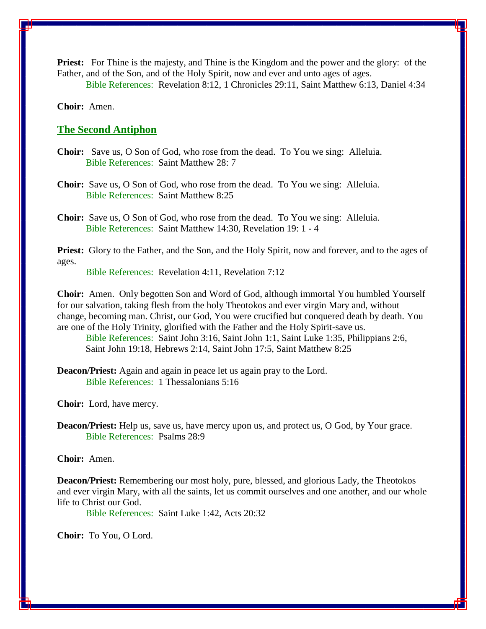**Priest:** For Thine is the majesty, and Thine is the Kingdom and the power and the glory: of the Father, and of the Son, and of the Holy Spirit, now and ever and unto ages of ages.

Bible References: Revelation 8:12, 1 Chronicles 29:11, Saint Matthew 6:13, Daniel 4:34

**Choir:** Amen.

#### **The Second Antiphon**

- **Choir:** Save us, O Son of God, who rose from the dead. To You we sing: Alleluia. Bible References: Saint Matthew 28: 7
- **Choir:** Save us, O Son of God, who rose from the dead. To You we sing: Alleluia. Bible References: Saint Matthew 8:25
- **Choir:** Save us, O Son of God, who rose from the dead. To You we sing: Alleluia. Bible References: Saint Matthew 14:30, Revelation 19: 1 - 4

**Priest:** Glory to the Father, and the Son, and the Holy Spirit, now and forever, and to the ages of ages.

Bible References: Revelation 4:11, Revelation 7:12

**Choir:** Amen. Only begotten Son and Word of God, although immortal You humbled Yourself for our salvation, taking flesh from the holy Theotokos and ever virgin Mary and, without change, becoming man. Christ, our God, You were crucified but conquered death by death. You are one of the Holy Trinity, glorified with the Father and the Holy Spirit-save us.

Bible References: Saint John 3:16, Saint John 1:1, Saint Luke 1:35, Philippians 2:6, Saint John 19:18, Hebrews 2:14, Saint John 17:5, Saint Matthew 8:25

**Deacon/Priest:** Again and again in peace let us again pray to the Lord. Bible References: 1 Thessalonians 5:16

**Choir:** Lord, have mercy.

**Deacon/Priest:** Help us, save us, have mercy upon us, and protect us, O God, by Your grace. Bible References: Psalms 28:9

# **Choir:** Amen.

**Deacon/Priest:** Remembering our most holy, pure, blessed, and glorious Lady, the Theotokos and ever virgin Mary, with all the saints, let us commit ourselves and one another, and our whole life to Christ our God.

Bible References: Saint Luke 1:42, Acts 20:32

**Choir:** To You, O Lord.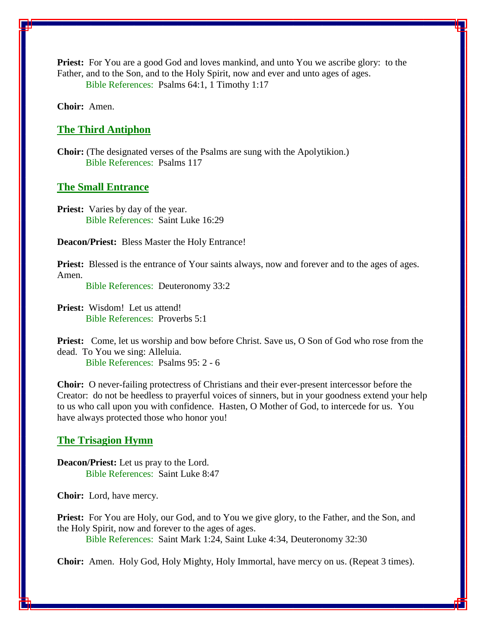**Priest:** For You are a good God and loves mankind, and unto You we ascribe glory: to the Father, and to the Son, and to the Holy Spirit, now and ever and unto ages of ages. Bible References: Psalms 64:1, 1 Timothy 1:17

**Choir:** Amen.

#### **The Third Antiphon**

**Choir:** (The designated verses of the Psalms are sung with the Apolytikion.) Bible References: Psalms 117

#### **The Small Entrance**

**Priest:** Varies by day of the year. Bible References: Saint Luke 16:29

**Deacon/Priest:** Bless Master the Holy Entrance!

**Priest:** Blessed is the entrance of Your saints always, now and forever and to the ages of ages. Amen.

Bible References: Deuteronomy 33:2

**Priest:** Wisdom! Let us attend! Bible References: Proverbs 5:1

**Priest:** Come, let us worship and bow before Christ. Save us, O Son of God who rose from the dead. To You we sing: Alleluia. Bible References: Psalms 95: 2 - 6

**Choir:** O never-failing protectress of Christians and their ever-present intercessor before the Creator: do not be heedless to prayerful voices of sinners, but in your goodness extend your help to us who call upon you with confidence. Hasten, O Mother of God, to intercede for us. You have always protected those who honor you!

#### **The Trisagion Hymn**

**Deacon/Priest:** Let us pray to the Lord. Bible References: Saint Luke 8:47

**Choir:** Lord, have mercy.

**Priest:** For You are Holy, our God, and to You we give glory, to the Father, and the Son, and the Holy Spirit, now and forever to the ages of ages.

Bible References: Saint Mark 1:24, Saint Luke 4:34, Deuteronomy 32:30

**Choir:** Amen. Holy God, Holy Mighty, Holy Immortal, have mercy on us. (Repeat 3 times).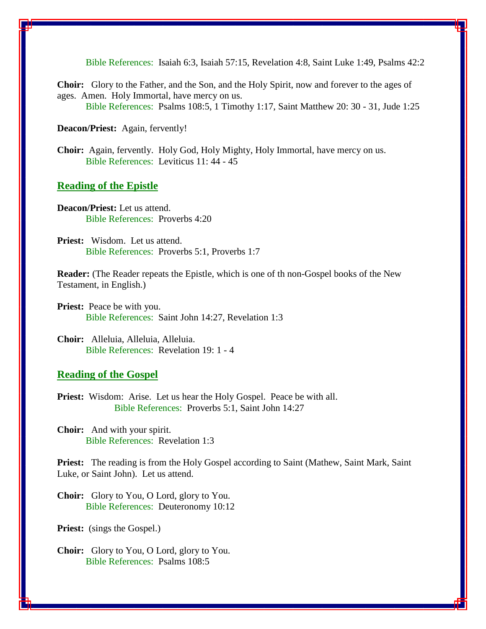Bible References: Isaiah 6:3, Isaiah 57:15, Revelation 4:8, Saint Luke 1:49, Psalms 42:2

**Choir:** Glory to the Father, and the Son, and the Holy Spirit, now and forever to the ages of ages. Amen. Holy Immortal, have mercy on us. Bible References: Psalms 108:5, 1 Timothy 1:17, Saint Matthew 20: 30 - 31, Jude 1:25

**Deacon/Priest:** Again, fervently!

**Choir:** Again, fervently. Holy God, Holy Mighty, Holy Immortal, have mercy on us. Bible References: Leviticus 11: 44 - 45

#### **Reading of the Epistle**

**Deacon/Priest:** Let us attend. Bible References: Proverbs 4:20

**Priest:** Wisdom. Let us attend. Bible References: Proverbs 5:1, Proverbs 1:7

**Reader:** (The Reader repeats the Epistle, which is one of th non-Gospel books of the New Testament, in English.)

**Priest:** Peace be with you. Bible References: Saint John 14:27, Revelation 1:3

**Choir:** Alleluia, Alleluia, Alleluia. Bible References: Revelation 19: 1 - 4

### **Reading of the Gospel**

**Priest:** Wisdom: Arise. Let us hear the Holy Gospel. Peace be with all. Bible References: Proverbs 5:1, Saint John 14:27

**Choir:** And with your spirit. Bible References: Revelation 1:3

**Priest:** The reading is from the Holy Gospel according to Saint (Mathew, Saint Mark, Saint Luke, or Saint John). Let us attend.

**Choir:** Glory to You, O Lord, glory to You. Bible References: Deuteronomy 10:12

Priest: (sings the Gospel.)

**Choir:** Glory to You, O Lord, glory to You. Bible References: Psalms 108:5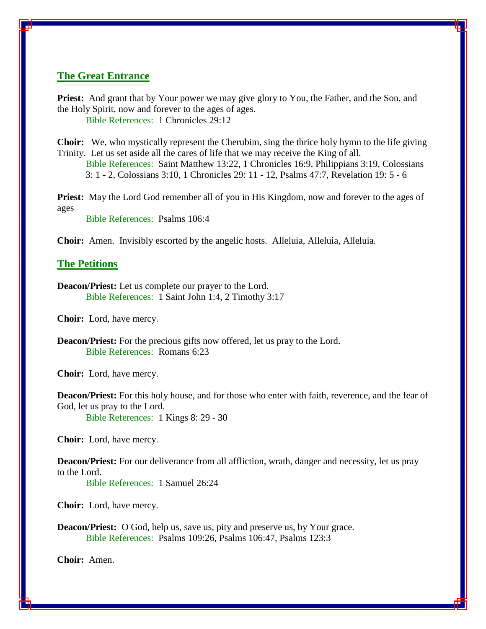# **The Great Entrance**

**Priest:** And grant that by Your power we may give glory to You, the Father, and the Son, and the Holy Spirit, now and forever to the ages of ages. Bible References: 1 Chronicles 29:12

**Choir:** We, who mystically represent the Cherubim, sing the thrice holy hymn to the life giving Trinity. Let us set aside all the cares of life that we may receive the King of all.

Bible References: Saint Matthew 13:22, 1 Chronicles 16:9, Philippians 3:19, Colossians 3: 1 - 2, Colossians 3:10, 1 Chronicles 29: 11 - 12, Psalms 47:7, Revelation 19: 5 - 6

**Priest:** May the Lord God remember all of you in His Kingdom, now and forever to the ages of ages

Bible References: Psalms 106:4

**Choir:** Amen. Invisibly escorted by the angelic hosts. Alleluia, Alleluia, Alleluia.

#### **The Petitions**

**Deacon/Priest:** Let us complete our prayer to the Lord. Bible References: 1 Saint John 1:4, 2 Timothy 3:17

**Choir:** Lord, have mercy.

**Deacon/Priest:** For the precious gifts now offered, let us pray to the Lord. Bible References: Romans 6:23

**Choir:** Lord, have mercy.

**Deacon/Priest:** For this holy house, and for those who enter with faith, reverence, and the fear of God, let us pray to the Lord.

Bible References: 1 Kings 8: 29 - 30

**Choir:** Lord, have mercy.

**Deacon/Priest:** For our deliverance from all affliction, wrath, danger and necessity, let us pray to the Lord.

Bible References: 1 Samuel 26:24

**Choir:** Lord, have mercy.

**Deacon/Priest:** O God, help us, save us, pity and preserve us, by Your grace. Bible References: Psalms 109:26, Psalms 106:47, Psalms 123:3

**Choir:** Amen.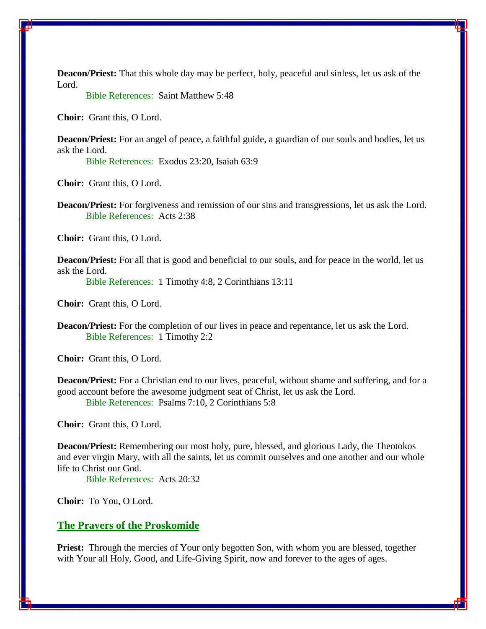**Deacon/Priest:** That this whole day may be perfect, holy, peaceful and sinless, let us ask of the Lord.

Bible References: Saint Matthew 5:48

**Choir:** Grant this, O Lord.

**Deacon/Priest:** For an angel of peace, a faithful guide, a guardian of our souls and bodies, let us ask the Lord.

Bible References: Exodus 23:20, Isaiah 63:9

**Choir:** Grant this, O Lord.

**Deacon/Priest:** For forgiveness and remission of our sins and transgressions, let us ask the Lord. Bible References: Acts 2:38

**Choir:** Grant this, O Lord.

**Deacon/Priest:** For all that is good and beneficial to our souls, and for peace in the world, let us ask the Lord.

Bible References: 1 Timothy 4:8, 2 Corinthians 13:11

**Choir:** Grant this, O Lord.

**Deacon/Priest:** For the completion of our lives in peace and repentance, let us ask the Lord. Bible References: 1 Timothy 2:2

**Choir:** Grant this, O Lord.

**Deacon/Priest:** For a Christian end to our lives, peaceful, without shame and suffering, and for a good account before the awesome judgment seat of Christ, let us ask the Lord. Bible References: Psalms 7:10, 2 Corinthians 5:8

**Choir:** Grant this, O Lord.

**Deacon/Priest:** Remembering our most holy, pure, blessed, and glorious Lady, the Theotokos and ever virgin Mary, with all the saints, let us commit ourselves and one another and our whole life to Christ our God.

Bible References: Acts 20:32

**Choir:** To You, O Lord.

# **The Prayers of the Proskomide**

**Priest:** Through the mercies of Your only begotten Son, with whom you are blessed, together with Your all Holy, Good, and Life-Giving Spirit, now and forever to the ages of ages.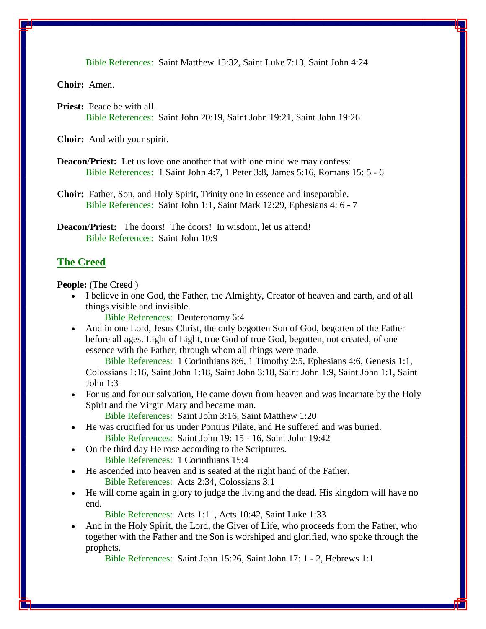Bible References: Saint Matthew 15:32, Saint Luke 7:13, Saint John 4:24

**Choir:** Amen.

**Priest:** Peace be with all. Bible References: Saint John 20:19, Saint John 19:21, Saint John 19:26

**Choir:** And with your spirit.

- **Deacon/Priest:** Let us love one another that with one mind we may confess: Bible References: 1 Saint John 4:7, 1 Peter 3:8, James 5:16, Romans 15: 5 - 6
- **Choir:** Father, Son, and Holy Spirit, Trinity one in essence and inseparable. Bible References: Saint John 1:1, Saint Mark 12:29, Ephesians 4: 6 - 7

**Deacon/Priest:** The doors! The doors! In wisdom, let us attend! Bible References: Saint John 10:9

# **The Creed**

**People:** (The Creed )

 I believe in one God, the Father, the Almighty, Creator of heaven and earth, and of all things visible and invisible.

Bible References: Deuteronomy 6:4

• And in one Lord, Jesus Christ, the only begotten Son of God, begotten of the Father before all ages. Light of Light, true God of true God, begotten, not created, of one essence with the Father, through whom all things were made.

 Bible References: 1 Corinthians 8:6, 1 Timothy 2:5, Ephesians 4:6, Genesis 1:1, Colossians 1:16, Saint John 1:18, Saint John 3:18, Saint John 1:9, Saint John 1:1, Saint John 1:3

 For us and for our salvation, He came down from heaven and was incarnate by the Holy Spirit and the Virgin Mary and became man.

Bible References: Saint John 3:16, Saint Matthew 1:20

He was crucified for us under Pontius Pilate, and He suffered and was buried.

Bible References: Saint John 19: 15 - 16, Saint John 19:42

- On the third day He rose according to the Scriptures. Bible References: 1 Corinthians 15:4
- He ascended into heaven and is seated at the right hand of the Father. Bible References: Acts 2:34, Colossians 3:1
- He will come again in glory to judge the living and the dead. His kingdom will have no end.

Bible References: Acts 1:11, Acts 10:42, Saint Luke 1:33

 And in the Holy Spirit, the Lord, the Giver of Life, who proceeds from the Father, who together with the Father and the Son is worshiped and glorified, who spoke through the prophets.

Bible References: Saint John 15:26, Saint John 17: 1 - 2, Hebrews 1:1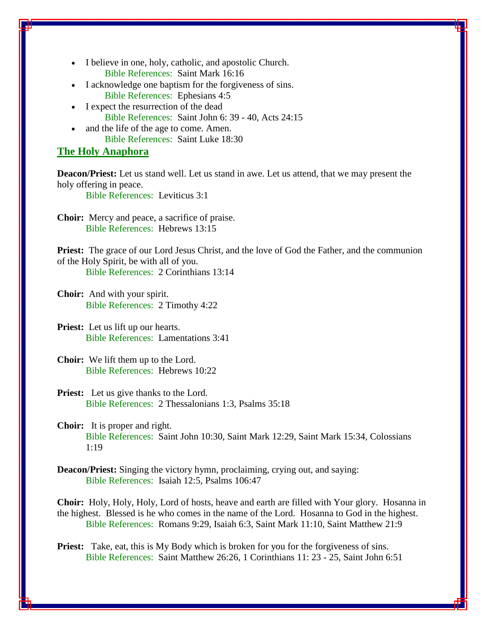- I believe in one, holy, catholic, and apostolic Church. Bible References: Saint Mark 16:16
- I acknowledge one baptism for the forgiveness of sins. Bible References: Ephesians 4:5
- I expect the resurrection of the dead Bible References: Saint John 6: 39 - 40, Acts 24:15
- and the life of the age to come. Amen. Bible References: Saint Luke 18:30

# **The Holy Anaphora**

**Deacon/Priest:** Let us stand well. Let us stand in awe. Let us attend, that we may present the holy offering in peace.

Bible References: Leviticus 3:1

**Choir:** Mercy and peace, a sacrifice of praise. Bible References: Hebrews 13:15

**Priest:** The grace of our Lord Jesus Christ, and the love of God the Father, and the communion of the Holy Spirit, be with all of you. Bible References: 2 Corinthians 13:14

**Choir:** And with your spirit. Bible References: 2 Timothy 4:22

**Priest:** Let us lift up our hearts. Bible References: Lamentations 3:41

**Choir:** We lift them up to the Lord. Bible References: Hebrews 10:22

**Priest:** Let us give thanks to the Lord. Bible References: 2 Thessalonians 1:3, Psalms 35:18

**Choir:** It is proper and right. Bible References: Saint John 10:30, Saint Mark 12:29, Saint Mark 15:34, Colossians 1:19

**Deacon/Priest:** Singing the victory hymn, proclaiming, crying out, and saying: Bible References: Isaiah 12:5, Psalms 106:47

**Choir:** Holy, Holy, Holy, Lord of hosts, heave and earth are filled with Your glory. Hosanna in the highest. Blessed is he who comes in the name of the Lord. Hosanna to God in the highest. Bible References: Romans 9:29, Isaiah 6:3, Saint Mark 11:10, Saint Matthew 21:9

**Priest:** Take, eat, this is My Body which is broken for you for the forgiveness of sins. Bible References: Saint Matthew 26:26, 1 Corinthians 11: 23 - 25, Saint John 6:51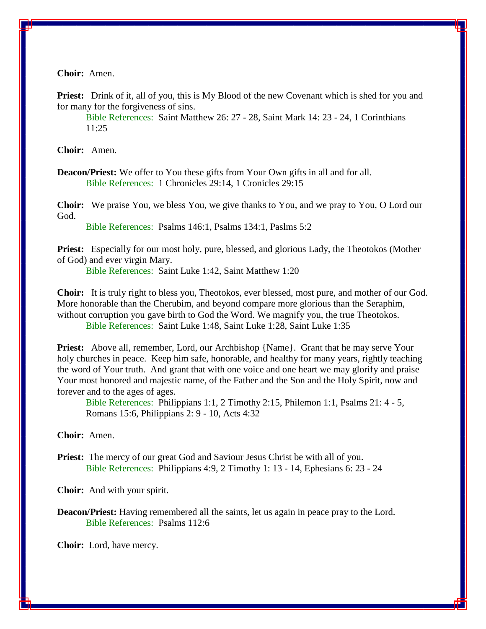**Choir:** Amen.

**Priest:** Drink of it, all of you, this is My Blood of the new Covenant which is shed for you and for many for the forgiveness of sins.

Bible References: Saint Matthew 26: 27 - 28, Saint Mark 14: 23 - 24, 1 Corinthians 11:25

**Choir:** Amen.

**Deacon/Priest:** We offer to You these gifts from Your Own gifts in all and for all. Bible References: 1 Chronicles 29:14, 1 Cronicles 29:15

**Choir:** We praise You, we bless You, we give thanks to You, and we pray to You, O Lord our God.

Bible References: Psalms 146:1, Psalms 134:1, Paslms 5:2

**Priest:** Especially for our most holy, pure, blessed, and glorious Lady, the Theotokos (Mother of God) and ever virgin Mary.

Bible References: Saint Luke 1:42, Saint Matthew 1:20

**Choir:** It is truly right to bless you, Theotokos, ever blessed, most pure, and mother of our God. More honorable than the Cherubim, and beyond compare more glorious than the Seraphim, without corruption you gave birth to God the Word. We magnify you, the true Theotokos. Bible References: Saint Luke 1:48, Saint Luke 1:28, Saint Luke 1:35

**Priest:** Above all, remember, Lord, our Archbishop {Name}. Grant that he may serve Your holy churches in peace. Keep him safe, honorable, and healthy for many years, rightly teaching the word of Your truth. And grant that with one voice and one heart we may glorify and praise Your most honored and majestic name, of the Father and the Son and the Holy Spirit, now and forever and to the ages of ages.

Bible References: Philippians 1:1, 2 Timothy 2:15, Philemon 1:1, Psalms 21: 4 - 5, Romans 15:6, Philippians 2: 9 - 10, Acts 4:32

**Choir:** Amen.

**Priest:** The mercy of our great God and Saviour Jesus Christ be with all of you. Bible References: Philippians 4:9, 2 Timothy 1: 13 - 14, Ephesians 6: 23 - 24

**Choir:** And with your spirit.

**Deacon/Priest:** Having remembered all the saints, let us again in peace pray to the Lord. Bible References: Psalms 112:6

**Choir:** Lord, have mercy.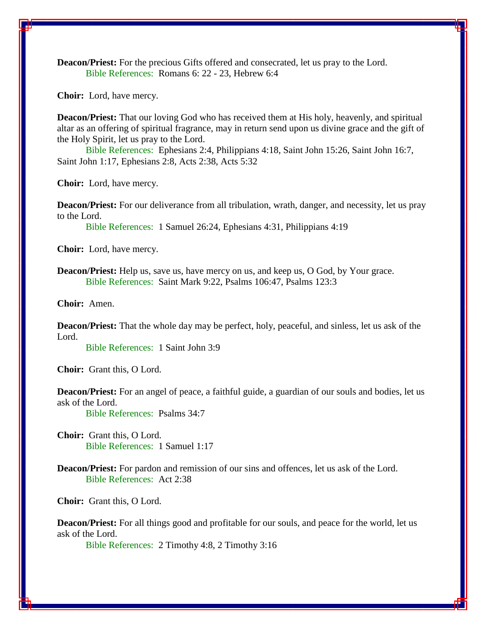**Deacon/Priest:** For the precious Gifts offered and consecrated, let us pray to the Lord. Bible References: Romans 6: 22 - 23, Hebrew 6:4

**Choir:** Lord, have mercy.

**Deacon/Priest:** That our loving God who has received them at His holy, heavenly, and spiritual altar as an offering of spiritual fragrance, may in return send upon us divine grace and the gift of the Holy Spirit, let us pray to the Lord.

 Bible References: Ephesians 2:4, Philippians 4:18, Saint John 15:26, Saint John 16:7, Saint John 1:17, Ephesians 2:8, Acts 2:38, Acts 5:32

**Choir:** Lord, have mercy.

**Deacon/Priest:** For our deliverance from all tribulation, wrath, danger, and necessity, let us pray to the Lord.

Bible References: 1 Samuel 26:24, Ephesians 4:31, Philippians 4:19

**Choir:** Lord, have mercy.

**Deacon/Priest:** Help us, save us, have mercy on us, and keep us, O God, by Your grace. Bible References: Saint Mark 9:22, Psalms 106:47, Psalms 123:3

**Choir:** Amen.

**Deacon/Priest:** That the whole day may be perfect, holy, peaceful, and sinless, let us ask of the Lord.

Bible References: 1 Saint John 3:9

**Choir:** Grant this, O Lord.

**Deacon/Priest:** For an angel of peace, a faithful guide, a guardian of our souls and bodies, let us ask of the Lord.

Bible References: Psalms 34:7

**Choir:** Grant this, O Lord. Bible References: 1 Samuel 1:17

**Deacon/Priest:** For pardon and remission of our sins and offences, let us ask of the Lord. Bible References: Act 2:38

**Choir:** Grant this, O Lord.

**Deacon/Priest:** For all things good and profitable for our souls, and peace for the world, let us ask of the Lord.

Bible References: 2 Timothy 4:8, 2 Timothy 3:16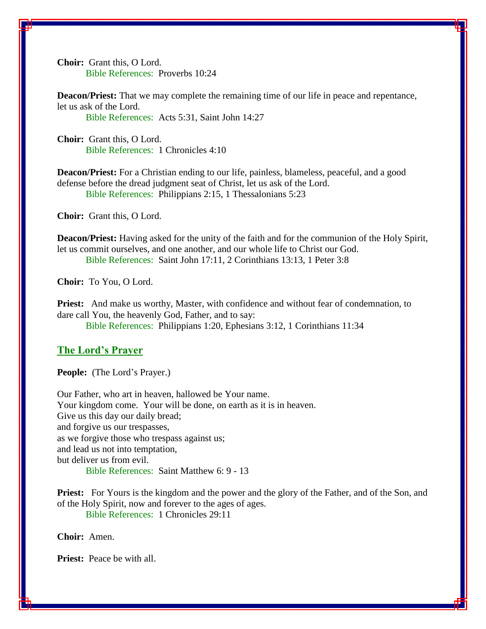**Choir:** Grant this, O Lord. Bible References: Proverbs 10:24

**Deacon/Priest:** That we may complete the remaining time of our life in peace and repentance, let us ask of the Lord. Bible References: Acts 5:31, Saint John 14:27

**Choir:** Grant this, O Lord. Bible References: 1 Chronicles 4:10

**Deacon/Priest:** For a Christian ending to our life, painless, blameless, peaceful, and a good defense before the dread judgment seat of Christ, let us ask of the Lord. Bible References: Philippians 2:15, 1 Thessalonians 5:23

**Choir:** Grant this, O Lord.

**Deacon/Priest:** Having asked for the unity of the faith and for the communion of the Holy Spirit, let us commit ourselves, and one another, and our whole life to Christ our God. Bible References: Saint John 17:11, 2 Corinthians 13:13, 1 Peter 3:8

**Choir:** To You, O Lord.

**Priest:** And make us worthy, Master, with confidence and without fear of condemnation, to dare call You, the heavenly God, Father, and to say: Bible References: Philippians 1:20, Ephesians 3:12, 1 Corinthians 11:34

# **The Lord's Prayer**

**People:** (The Lord's Prayer.)

Our Father, who art in heaven, hallowed be Your name. Your kingdom come. Your will be done, on earth as it is in heaven. Give us this day our daily bread; and forgive us our trespasses, as we forgive those who trespass against us; and lead us not into temptation, but deliver us from evil. Bible References: Saint Matthew 6: 9 - 13

**Priest:** For Yours is the kingdom and the power and the glory of the Father, and of the Son, and of the Holy Spirit, now and forever to the ages of ages.

Bible References: 1 Chronicles 29:11

**Choir:** Amen.

**Priest:** Peace be with all.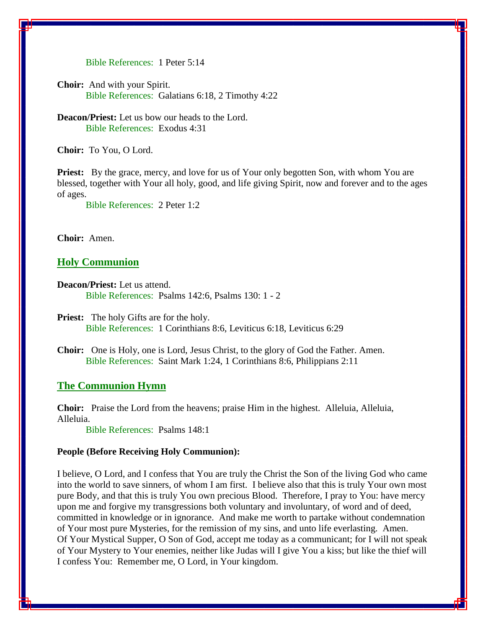Bible References: 1 Peter 5:14

**Choir:** And with your Spirit. Bible References: Galatians 6:18, 2 Timothy 4:22

**Deacon/Priest:** Let us bow our heads to the Lord. Bible References: Exodus 4:31

**Choir:** To You, O Lord.

**Priest:** By the grace, mercy, and love for us of Your only begotten Son, with whom You are blessed, together with Your all holy, good, and life giving Spirit, now and forever and to the ages of ages.

Bible References: 2 Peter 1:2

**Choir:** Amen.

# **Holy Communion**

**Deacon/Priest:** Let us attend. Bible References: Psalms 142:6, Psalms 130: 1 - 2

**Choir:** One is Holy, one is Lord, Jesus Christ, to the glory of God the Father. Amen. Bible References: Saint Mark 1:24, 1 Corinthians 8:6, Philippians 2:11

#### **The Communion Hymn**

**Choir:** Praise the Lord from the heavens; praise Him in the highest. Alleluia, Alleluia, Alleluia.

Bible References: Psalms 148:1

#### **People (Before Receiving Holy Communion):**

I believe, O Lord, and I confess that You are truly the Christ the Son of the living God who came into the world to save sinners, of whom I am first. I believe also that this is truly Your own most pure Body, and that this is truly You own precious Blood. Therefore, I pray to You: have mercy upon me and forgive my transgressions both voluntary and involuntary, of word and of deed, committed in knowledge or in ignorance. And make me worth to partake without condemnation of Your most pure Mysteries, for the remission of my sins, and unto life everlasting. Amen. Of Your Mystical Supper, O Son of God, accept me today as a communicant; for I will not speak of Your Mystery to Your enemies, neither like Judas will I give You a kiss; but like the thief will I confess You: Remember me, O Lord, in Your kingdom.

**Priest:** The holy Gifts are for the holy. Bible References: 1 Corinthians 8:6, Leviticus 6:18, Leviticus 6:29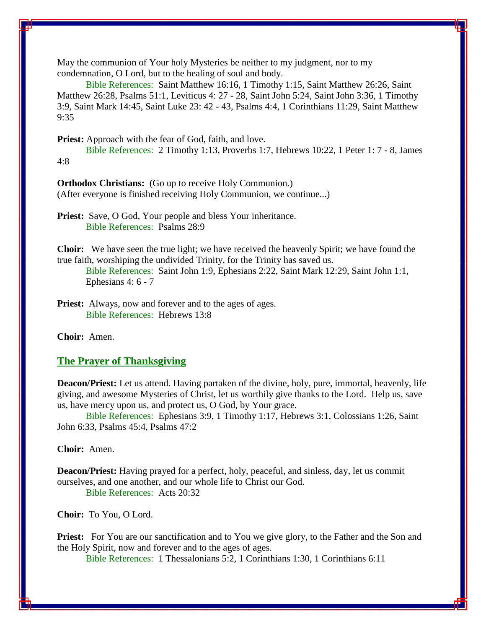May the communion of Your holy Mysteries be neither to my judgment, nor to my condemnation, O Lord, but to the healing of soul and body.

 Bible References: Saint Matthew 16:16, 1 Timothy 1:15, Saint Matthew 26:26, Saint Matthew 26:28, Psalms 51:1, Leviticus 4: 27 - 28, Saint John 5:24, Saint John 3:36, 1 Timothy 3:9, Saint Mark 14:45, Saint Luke 23: 42 - 43, Psalms 4:4, 1 Corinthians 11:29, Saint Matthew 9:35

**Priest:** Approach with the fear of God, faith, and love.

 Bible References: 2 Timothy 1:13, Proverbs 1:7, Hebrews 10:22, 1 Peter 1: 7 - 8, James 4:8

**Orthodox Christians:** (Go up to receive Holy Communion.) (After everyone is finished receiving Holy Communion, we continue...)

**Priest:** Save, O God, Your people and bless Your inheritance. Bible References: Psalms 28:9

**Choir:** We have seen the true light; we have received the heavenly Spirit; we have found the true faith, worshiping the undivided Trinity, for the Trinity has saved us.

Bible References: Saint John 1:9, Ephesians 2:22, Saint Mark 12:29, Saint John 1:1, Ephesians 4: 6 - 7

**Priest:** Always, now and forever and to the ages of ages. Bible References: Hebrews 13:8

**Choir:** Amen.

#### **The Prayer of Thanksgiving**

**Deacon/Priest:** Let us attend. Having partaken of the divine, holy, pure, immortal, heavenly, life giving, and awesome Mysteries of Christ, let us worthily give thanks to the Lord. Help us, save us, have mercy upon us, and protect us, O God, by Your grace.

 Bible References: Ephesians 3:9, 1 Timothy 1:17, Hebrews 3:1, Colossians 1:26, Saint John 6:33, Psalms 45:4, Psalms 47:2

**Choir:** Amen.

**Deacon/Priest:** Having prayed for a perfect, holy, peaceful, and sinless, day, let us commit ourselves, and one another, and our whole life to Christ our God. Bible References: Acts 20:32

**Choir:** To You, O Lord.

**Priest:** For You are our sanctification and to You we give glory, to the Father and the Son and the Holy Spirit, now and forever and to the ages of ages.

Bible References: 1 Thessalonians 5:2, 1 Corinthians 1:30, 1 Corinthians 6:11